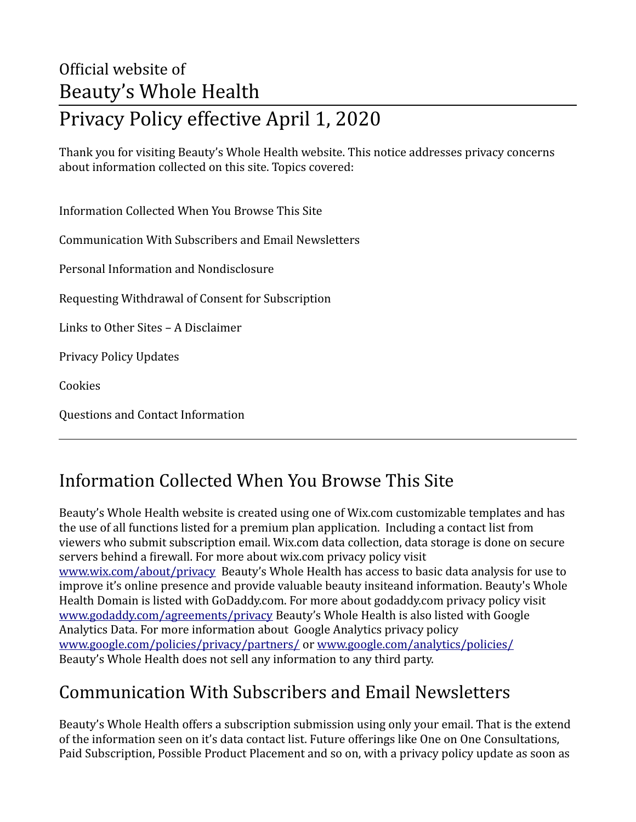# Official website of Beauty's Whole Health Privacy Policy effective April 1, 2020

Thank you for visiting Beauty's Whole Health website. This notice addresses privacy concerns about information collected on this site. Topics covered:

Information Collected When You Browse This Site Communication With Subscribers and Email Newsletters

Personal Information and Nondisclosure

Requesting Withdrawal of Consent for Subscription

Links to Other Sites – A Disclaimer

Privacy Policy Updates

Cookies

Questions and Contact Information

#### Information Collected When You Browse This Site

Beauty's Whole Health website is created using one of Wix.com customizable templates and has the use of all functions listed for a premium plan application. Including a contact list from viewers who submit subscription email. Wix.com data collection, data storage is done on secure servers behind a firewall. For more about wix.com privacy policy visit [www.wix.com/about/privacy](http://www.wix.com/about/privacy) Beauty's Whole Health has access to basic data analysis for use to improve it's online presence and provide valuable beauty insiteand information. Beauty's Whole Health Domain is listed with GoDaddy.com. For more about godaddy.com privacy policy visit [www.godaddy.com/agreements/privacy](http://www.godaddy.com/agreements/privacy) Beauty's Whole Health is also listed with Google Analytics Data. For more information about Google Analytics privacy policy [www.google.com/policies/privacy/partners/](http://www.google.com/policies/privacy/partners/) or [www.google.com/analytics/policies/](http://www.google.com/analytics/policies/)  Beauty's Whole Health does not sell any information to any third party.

#### Communication With Subscribers and Email Newsletters

Beauty's Whole Health offers a subscription submission using only your email. That is the extend of the information seen on it's data contact list. Future offerings like One on One Consultations, Paid Subscription, Possible Product Placement and so on, with a privacy policy update as soon as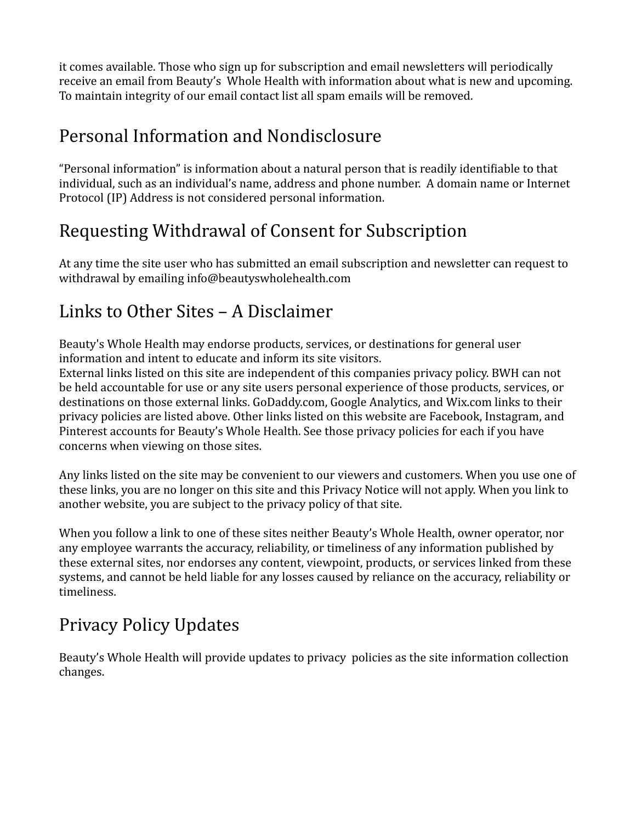it comes available. Those who sign up for subscription and email newsletters will periodically receive an email from Beauty's Whole Health with information about what is new and upcoming. To maintain integrity of our email contact list all spam emails will be removed.

#### Personal Information and Nondisclosure

"Personal information" is information about a natural person that is readily identifiable to that individual, such as an individual's name, address and phone number. A domain name or Internet Protocol (IP) Address is not considered personal information.

## Requesting Withdrawal of Consent for Subscription

At any time the site user who has submitted an email subscription and newsletter can request to withdrawal by emailing info@beautyswholehealth.com

### Links to Other Sites – A Disclaimer

Beauty's Whole Health may endorse products, services, or destinations for general user information and intent to educate and inform its site visitors.

External links listed on this site are independent of this companies privacy policy. BWH can not be held accountable for use or any site users personal experience of those products, services, or destinations on those external links. GoDaddy.com, Google Analytics, and Wix.com links to their privacy policies are listed above. Other links listed on this website are Facebook, Instagram, and Pinterest accounts for Beauty's Whole Health. See those privacy policies for each if you have concerns when viewing on those sites.

Any links listed on the site may be convenient to our viewers and customers. When you use one of these links, you are no longer on this site and this Privacy Notice will not apply. When you link to another website, you are subject to the privacy policy of that site.

When you follow a link to one of these sites neither Beauty's Whole Health, owner operator, nor any employee warrants the accuracy, reliability, or timeliness of any information published by these external sites, nor endorses any content, viewpoint, products, or services linked from these systems, and cannot be held liable for any losses caused by reliance on the accuracy, reliability or timeliness.

## Privacy Policy Updates

Beauty's Whole Health will provide updates to privacy policies as the site information collection changes.